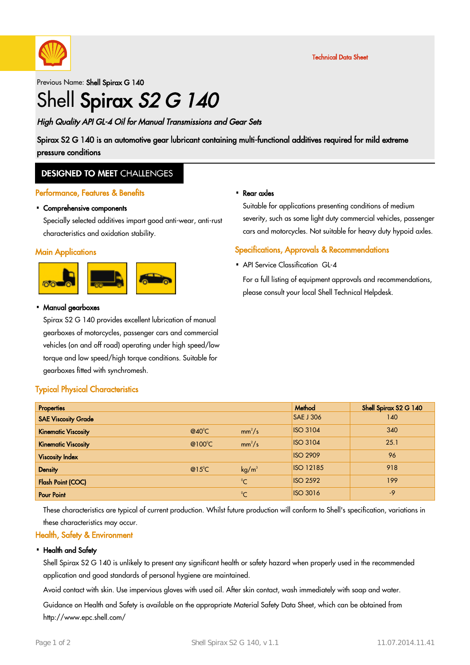

Previous Name: Shell Spirax G 140

# Shell Spirax S2 G 140

### High Quality API GL-4 Oil for Manual Transmissions and Gear Sets

Spirax S2 G 140 is an automotive gear lubricant containing multi-functional additives required for mild extreme pressure conditions

### **DESIGNED TO MEET CHALLENGES**

#### Performance, Features & Benefits

# Comprehensive components ·

Specially selected additives impart good anti-wear, anti-rust characteristics and oxidation stability.

#### **Main Applications**



# Manual gearboxes ·

Spirax S2 G 140 provides excellent lubrication of manual gearboxes of motorcycles, passenger cars and commercial vehicles (on and off road) operating under high speed/low torque and low speed/high torque conditions. Suitable for gearboxes fitted with synchromesh.

# Rear axles ·

Suitable for applications presenting conditions of medium severity, such as some light duty commercial vehicles, passenger cars and motorcycles. Not suitable for heavy duty hypoid axles.

#### Specifications, Approvals & Recommendations

• API Service Classification GL-4

For a full listing of equipment approvals and recommendations, please consult your local Shell Technical Helpdesk.

| <b>Properties</b>          |                 |                   | Method           | Shell Spirax S2 G 140 |
|----------------------------|-----------------|-------------------|------------------|-----------------------|
| <b>SAE Viscosity Grade</b> |                 |                   | <b>SAE J 306</b> | 140                   |
| <b>Kinematic Viscosity</b> | $@40^{\circ}$ C | $mm^2/s$          | <b>ISO 3104</b>  | 340                   |
| <b>Kinematic Viscosity</b> | @100°C          | $mm^2/s$          | <b>ISO 3104</b>  | 25.1                  |
| <b>Viscosity Index</b>     |                 |                   | <b>ISO 2909</b>  | 96                    |
| <b>Density</b>             | $@15^{\circ}$ C | kg/m <sup>3</sup> | <b>ISO 12185</b> | 918                   |
| <b>Flash Point (COC)</b>   |                 | $^{\circ}$ C      | <b>ISO 2592</b>  | 199                   |
| <b>Pour Point</b>          |                 | $^{\circ}C$       | <b>ISO 3016</b>  | $-9$                  |

These characteristics are typical of current production. Whilst future production will conform to Shell's specification, variations in these characteristics may occur.

### Health, Safety & Environment

Typical Physical Characteristics

#### • Health and Safety

Shell Spirax S2 G 140 is unlikely to present any significant health or safety hazard when properly used in the recommended application and good standards of personal hygiene are maintained.

Avoid contact with skin. Use impervious gloves with used oil. After skin contact, wash immediately with soap and water.

Guidance on Health and Safety is available on the appropriate Material Safety Data Sheet, which can be obtained from http://www.epc.shell.com/